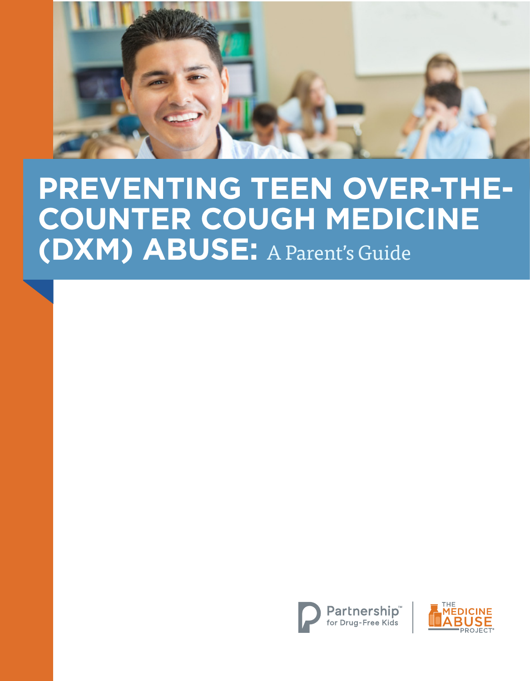

# **PREVENTING TEEN OVER-THE-COUNTER COUGH MEDICINE (DXM) ABUSE:** A Parent's Guide



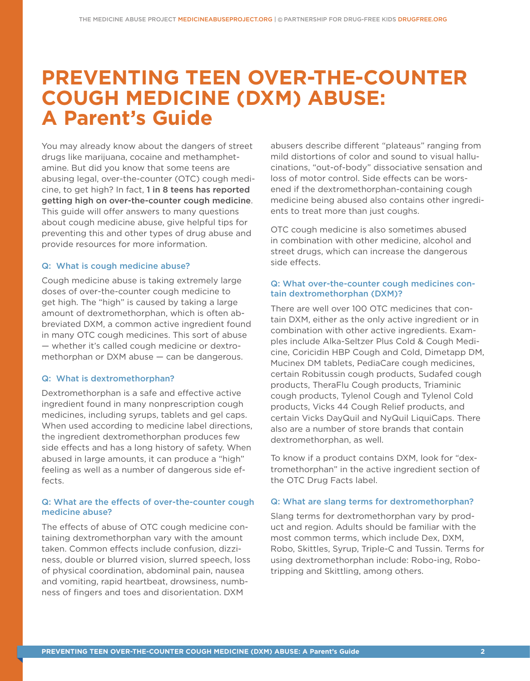# **PREVENTING TEEN OVER-THE-COUNTER COUGH MEDICINE (DXM) ABUSE: A Parent's Guide**

You may already know about the dangers of street drugs like marijuana, cocaine and methamphetamine. But did you know that some teens are abusing legal, over-the-counter (OTC) cough medicine, to get high? In fact, 1 in 8 teens has reported getting high on over-the-counter cough medicine. This guide will offer answers to many questions about cough medicine abuse, give helpful tips for preventing this and other types of drug abuse and provide resources for more information.

#### Q: What is cough medicine abuse?

Cough medicine abuse is taking extremely large doses of over-the-counter cough medicine to get high. The "high" is caused by taking a large amount of dextromethorphan, which is often abbreviated DXM, a common active ingredient found in many OTC cough medicines. This sort of abuse — whether it's called cough medicine or dextromethorphan or DXM abuse — can be dangerous.

#### Q: What is dextromethorphan?

Dextromethorphan is a safe and effective active ingredient found in many nonprescription cough medicines, including syrups, tablets and gel caps. When used according to medicine label directions, the ingredient dextromethorphan produces few side effects and has a long history of safety. When abused in large amounts, it can produce a "high" feeling as well as a number of dangerous side effects.

#### Q: What are the effects of over-the-counter cough medicine abuse?

The effects of abuse of OTC cough medicine containing dextromethorphan vary with the amount taken. Common effects include confusion, dizziness, double or blurred vision, slurred speech, loss of physical coordination, abdominal pain, nausea and vomiting, rapid heartbeat, drowsiness, numbness of fingers and toes and disorientation. DXM

abusers describe different "plateaus" ranging from mild distortions of color and sound to visual hallucinations, "out-of-body" dissociative sensation and loss of motor control. Side effects can be worsened if the dextromethorphan-containing cough medicine being abused also contains other ingredients to treat more than just coughs.

OTC cough medicine is also sometimes abused in combination with other medicine, alcohol and street drugs, which can increase the dangerous side effects.

#### Q: What over-the-counter cough medicines contain dextromethorphan (DXM)?

There are well over 100 OTC medicines that contain DXM, either as the only active ingredient or in combination with other active ingredients. Examples include Alka-Seltzer Plus Cold & Cough Medicine, Coricidin HBP Cough and Cold, Dimetapp DM, Mucinex DM tablets, PediaCare cough medicines, certain Robitussin cough products, Sudafed cough products, TheraFlu Cough products, Triaminic cough products, Tylenol Cough and Tylenol Cold products, Vicks 44 Cough Relief products, and certain Vicks DayQuil and NyQuil LiquiCaps. There also are a number of store brands that contain dextromethorphan, as well.

To know if a product contains DXM, look for "dextromethorphan" in the active ingredient section of the OTC Drug Facts label.

#### Q: What are slang terms for dextromethorphan?

Slang terms for dextromethorphan vary by product and region. Adults should be familiar with the most common terms, which include Dex, DXM, Robo, Skittles, Syrup, Triple-C and Tussin. Terms for using dextromethorphan include: Robo-ing, Robotripping and Skittling, among others.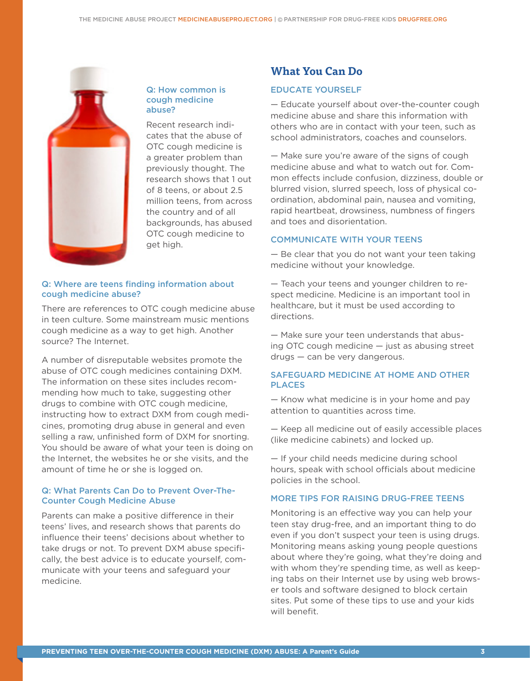

#### Q: How common is cough medicine abuse?

Recent research indicates that the abuse of OTC cough medicine is a greater problem than previously thought. The research shows that 1 out of 8 teens, or about 2.5 million teens, from across the country and of all backgrounds, has abused OTC cough medicine to get high.

#### Q: Where are teens finding information about cough medicine abuse?

There are references to OTC cough medicine abuse in teen culture. Some mainstream music mentions cough medicine as a way to get high. Another source? The Internet.

A number of disreputable websites promote the abuse of OTC cough medicines containing DXM. The information on these sites includes recommending how much to take, suggesting other drugs to combine with OTC cough medicine, instructing how to extract DXM from cough medicines, promoting drug abuse in general and even selling a raw, unfinished form of DXM for snorting. You should be aware of what your teen is doing on the Internet, the websites he or she visits, and the amount of time he or she is logged on.

#### Q: What Parents Can Do to Prevent Over-The-Counter Cough Medicine Abuse

Parents can make a positive difference in their teens' lives, and research shows that parents do influence their teens' decisions about whether to take drugs or not. To prevent DXM abuse specifically, the best advice is to educate yourself, communicate with your teens and safeguard your medicine.

# **What You Can Do**

#### EDUCATE YOURSELF

— Educate yourself about over-the-counter cough medicine abuse and share this information with others who are in contact with your teen, such as school administrators, coaches and counselors.

— Make sure you're aware of the signs of cough medicine abuse and what to watch out for. Common effects include confusion, dizziness, double or blurred vision, slurred speech, loss of physical coordination, abdominal pain, nausea and vomiting, rapid heartbeat, drowsiness, numbness of fingers and toes and disorientation.

#### COMMUNICATE WITH YOUR TEENS

— Be clear that you do not want your teen taking medicine without your knowledge.

— Teach your teens and younger children to respect medicine. Medicine is an important tool in healthcare, but it must be used according to directions.

— Make sure your teen understands that abusing OTC cough medicine — just as abusing street drugs — can be very dangerous.

#### SAFEGUARD MEDICINE AT HOME AND OTHER PLACES

— Know what medicine is in your home and pay attention to quantities across time.

— Keep all medicine out of easily accessible places (like medicine cabinets) and locked up.

— If your child needs medicine during school hours, speak with school officials about medicine policies in the school.

#### MORE TIPS FOR RAISING DRUG-FREE TEENS

Monitoring is an effective way you can help your teen stay drug-free, and an important thing to do even if you don't suspect your teen is using drugs. Monitoring means asking young people questions about where they're going, what they're doing and with whom they're spending time, as well as keeping tabs on their Internet use by using web browser tools and software designed to block certain sites. Put some of these tips to use and your kids will benefit.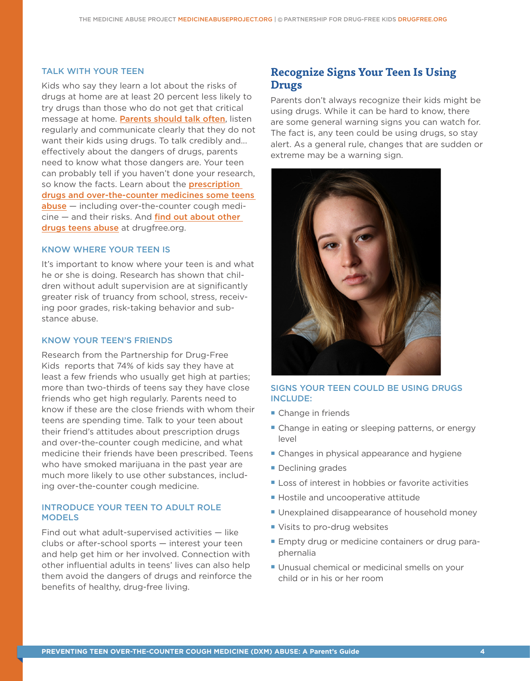#### TALK WITH YOUR TEEN

Kids who say they learn a lot about the risks of drugs at home are at least 20 percent less likely to try drugs than those who do not get that critical message at home. [Parents should talk often](http://www.drugfree.org/resources/), listen regularly and communicate clearly that they do not want their kids using drugs. To talk credibly and... effectively about the dangers of drugs, parents need to know what those dangers are. Your teen can probably tell if you haven't done your research, so know the facts. Learn about the **prescription** [drugs and over-the-counter medicines some teens](http://medicineabuseproject.org/medicine)  [abuse](http://medicineabuseproject.org/medicine) – including over-the-counter cough medi $cine$  – and their risks. And find out about other [drugs teens abuse](http://www.drugfree.org/drug-guide) at drugfree.org.

#### KNOW WHERE YOUR TEEN IS

It's important to know where your teen is and what he or she is doing. Research has shown that children without adult supervision are at significantly greater risk of truancy from school, stress, receiving poor grades, risk-taking behavior and substance abuse.

#### KNOW YOUR TEEN'S FRIENDS

Research from the Partnership for Drug-Free Kids reports that 74% of kids say they have at least a few friends who usually get high at parties; more than two-thirds of teens say they have close friends who get high regularly. Parents need to know if these are the close friends with whom their teens are spending time. Talk to your teen about their friend's attitudes about prescription drugs and over-the-counter cough medicine, and what medicine their friends have been prescribed. Teens who have smoked marijuana in the past year are much more likely to use other substances, including over-the-counter cough medicine.

#### INTRODUCE YOUR TEEN TO ADULT ROLE **MODELS**

Find out what adult-supervised activities — like clubs or after-school sports — interest your teen and help get him or her involved. Connection with other influential adults in teens' lives can also help them avoid the dangers of drugs and reinforce the benefits of healthy, drug-free living.

## **Recognize Signs Your Teen Is Using Drugs**

Parents don't always recognize their kids might be using drugs. While it can be hard to know, there are some general warning signs you can watch for. The fact is, any teen could be using drugs, so stay alert. As a general rule, changes that are sudden or extreme may be a warning sign.



#### SIGNS YOUR TEEN COULD BE USING DRUGS INCLUDE:

- Change in friends
- Change in eating or sleeping patterns, or energy level
- Changes in physical appearance and hygiene
- Declining grades
- Loss of interest in hobbies or favorite activities
- **Hostile and uncooperative attitude**
- **Unexplained disappearance of household money**
- Visits to pro-drug websites
- **Empty drug or medicine containers or drug para**phernalia
- **Unusual chemical or medicinal smells on your** child or in his or her room